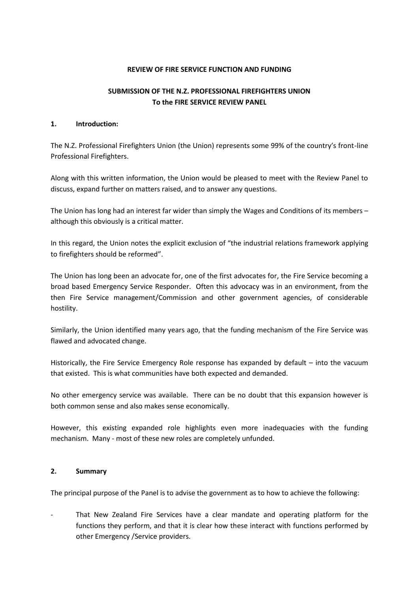### **REVIEW OF FIRE SERVICE FUNCTION AND FUNDING**

# **SUBMISSION OF THE N.Z. PROFESSIONAL FIREFIGHTERS UNION To the FIRE SERVICE REVIEW PANEL**

#### **1. Introduction:**

The N.Z. Professional Firefighters Union (the Union) represents some 99% of the country's front-line Professional Firefighters.

Along with this written information, the Union would be pleased to meet with the Review Panel to discuss, expand further on matters raised, and to answer any questions.

The Union has long had an interest far wider than simply the Wages and Conditions of its members – although this obviously is a critical matter.

In this regard, the Union notes the explicit exclusion of "the industrial relations framework applying to firefighters should be reformed".

The Union has long been an advocate for, one of the first advocates for, the Fire Service becoming a broad based Emergency Service Responder. Often this advocacy was in an environment, from the then Fire Service management/Commission and other government agencies, of considerable hostility.

Similarly, the Union identified many years ago, that the funding mechanism of the Fire Service was flawed and advocated change.

Historically, the Fire Service Emergency Role response has expanded by default – into the vacuum that existed. This is what communities have both expected and demanded.

No other emergency service was available. There can be no doubt that this expansion however is both common sense and also makes sense economically.

However, this existing expanded role highlights even more inadequacies with the funding mechanism. Many - most of these new roles are completely unfunded.

## **2. Summary**

The principal purpose of the Panel is to advise the government as to how to achieve the following:

That New Zealand Fire Services have a clear mandate and operating platform for the functions they perform, and that it is clear how these interact with functions performed by other Emergency /Service providers.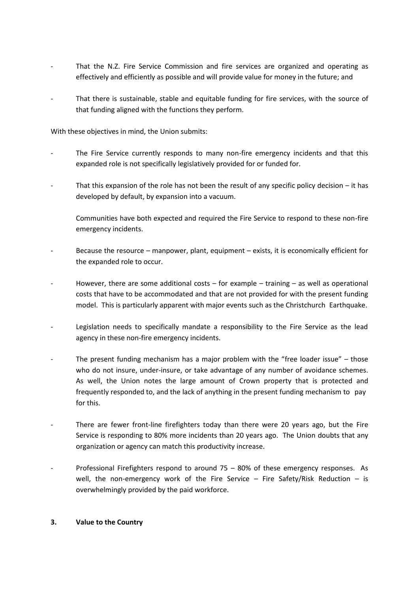- That the N.Z. Fire Service Commission and fire services are organized and operating as effectively and efficiently as possible and will provide value for money in the future; and
- That there is sustainable, stable and equitable funding for fire services, with the source of that funding aligned with the functions they perform.

With these objectives in mind, the Union submits:

- The Fire Service currently responds to many non-fire emergency incidents and that this expanded role is not specifically legislatively provided for or funded for.
- That this expansion of the role has not been the result of any specific policy decision  $-$  it has developed by default, by expansion into a vacuum.
	- Communities have both expected and required the Fire Service to respond to these non-fire emergency incidents.
- Because the resource manpower, plant, equipment exists, it is economically efficient for the expanded role to occur.
- However, there are some additional costs for example training as well as operational costs that have to be accommodated and that are not provided for with the present funding model. This is particularly apparent with major events such as the Christchurch Earthquake.
- Legislation needs to specifically mandate a responsibility to the Fire Service as the lead agency in these non-fire emergency incidents.
- The present funding mechanism has a major problem with the "free loader issue" those who do not insure, under-insure, or take advantage of any number of avoidance schemes. As well, the Union notes the large amount of Crown property that is protected and frequently responded to, and the lack of anything in the present funding mechanism to pay for this.
- There are fewer front-line firefighters today than there were 20 years ago, but the Fire Service is responding to 80% more incidents than 20 years ago. The Union doubts that any organization or agency can match this productivity increase.
- Professional Firefighters respond to around  $75 80%$  of these emergency responses. As well, the non-emergency work of the Fire Service – Fire Safety/Risk Reduction – is overwhelmingly provided by the paid workforce.

#### **3. Value to the Country**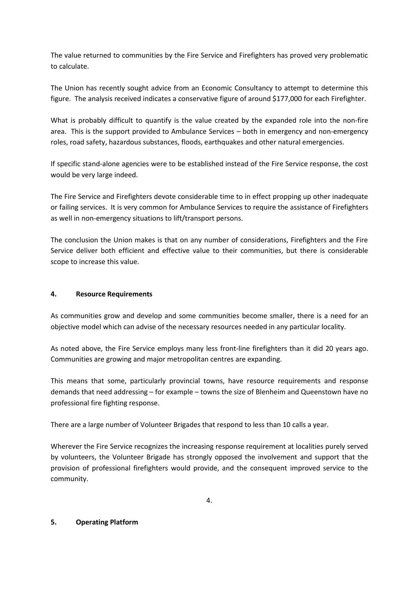The value returned to communities by the Fire Service and Firefighters has proved very problematic to calculate.

The Union has recently sought advice from an Economic Consultancy to attempt to determine this figure. The analysis received indicates a conservative figure of around \$177,000 for each Firefighter.

What is probably difficult to quantify is the value created by the expanded role into the non-fire area. This is the support provided to Ambulance Services – both in emergency and non-emergency roles, road safety, hazardous substances, floods, earthquakes and other natural emergencies.

If specific stand-alone agencies were to be established instead of the Fire Service response, the cost would be very large indeed.

The Fire Service and Firefighters devote considerable time to in effect propping up other inadequate or failing services. It is very common for Ambulance Services to require the assistance of Firefighters as well in non-emergency situations to lift/transport persons.

The conclusion the Union makes is that on any number of considerations, Firefighters and the Fire Service deliver both efficient and effective value to their communities, but there is considerable scope to increase this value.

## **4. Resource Requirements**

As communities grow and develop and some communities become smaller, there is a need for an objective model which can advise of the necessary resources needed in any particular locality.

As noted above, the Fire Service employs many less front-line firefighters than it did 20 years ago. Communities are growing and major metropolitan centres are expanding.

This means that some, particularly provincial towns, have resource requirements and response demands that need addressing – for example – towns the size of Blenheim and Queenstown have no professional fire fighting response.

There are a large number of Volunteer Brigades that respond to less than 10 calls a year.

Wherever the Fire Service recognizes the increasing response requirement at localities purely served by volunteers, the Volunteer Brigade has strongly opposed the involvement and support that the provision of professional firefighters would provide, and the consequent improved service to the community.

#### **5. Operating Platform**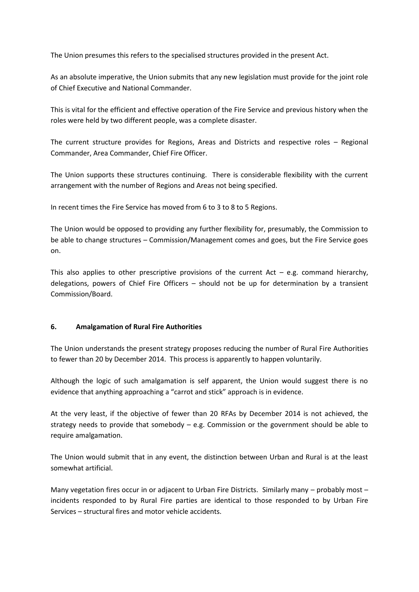The Union presumes this refers to the specialised structures provided in the present Act.

As an absolute imperative, the Union submits that any new legislation must provide for the joint role of Chief Executive and National Commander.

This is vital for the efficient and effective operation of the Fire Service and previous history when the roles were held by two different people, was a complete disaster.

The current structure provides for Regions, Areas and Districts and respective roles – Regional Commander, Area Commander, Chief Fire Officer.

The Union supports these structures continuing. There is considerable flexibility with the current arrangement with the number of Regions and Areas not being specified.

In recent times the Fire Service has moved from 6 to 3 to 8 to 5 Regions.

The Union would be opposed to providing any further flexibility for, presumably, the Commission to be able to change structures – Commission/Management comes and goes, but the Fire Service goes on.

This also applies to other prescriptive provisions of the current  $Act - e.g.$  command hierarchy, delegations, powers of Chief Fire Officers – should not be up for determination by a transient Commission/Board.

#### **6. Amalgamation of Rural Fire Authorities**

The Union understands the present strategy proposes reducing the number of Rural Fire Authorities to fewer than 20 by December 2014. This process is apparently to happen voluntarily.

Although the logic of such amalgamation is self apparent, the Union would suggest there is no evidence that anything approaching a "carrot and stick" approach is in evidence.

At the very least, if the objective of fewer than 20 RFAs by December 2014 is not achieved, the strategy needs to provide that somebody – e.g. Commission or the government should be able to require amalgamation.

The Union would submit that in any event, the distinction between Urban and Rural is at the least somewhat artificial.

Many vegetation fires occur in or adjacent to Urban Fire Districts. Similarly many – probably most – incidents responded to by Rural Fire parties are identical to those responded to by Urban Fire Services – structural fires and motor vehicle accidents.